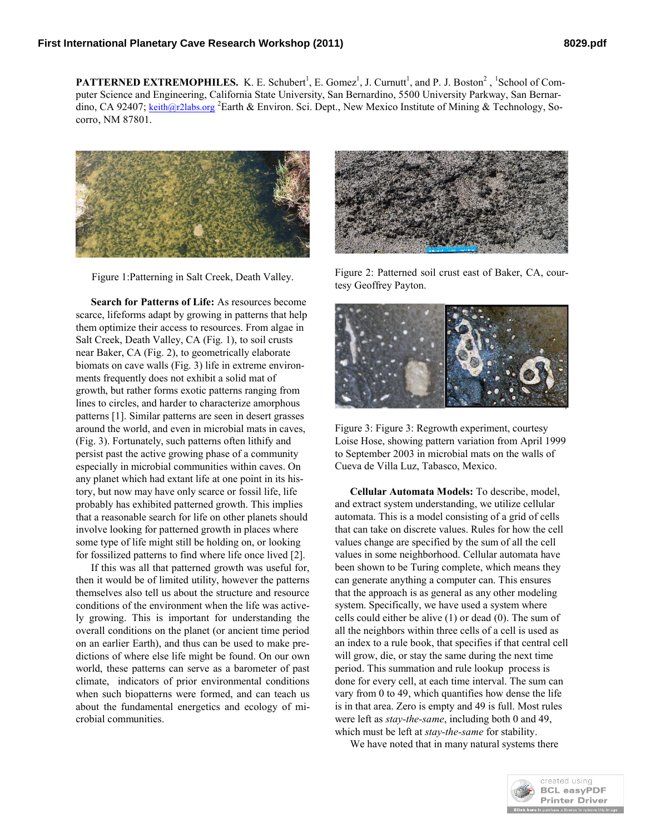**PATTERNED EXTREMOPHILES.** K. E. Schubert<sup>1</sup>, E. Gomez<sup>1</sup>, J. Curnutt<sup>1</sup>, and P. J. Boston<sup>2</sup>, <sup>1</sup>School of Computer Science and Engineering, California State University, San Bernardino, 5500 University Parkway, San Bernardino, CA 92407; keith@r2labs.org <sup>2</sup>Earth & Environ. Sci. Dept., New Mexico Institute of Mining & Technology, Socorro, NM 87801.



Figure 1:Patterning in Salt Creek, Death Valley.

**Search for Patterns of Life:** As resources become scarce, lifeforms adapt by growing in patterns that help them optimize their access to resources. From algae in Salt Creek, Death Valley, CA (Fig. 1), to soil crusts near Baker, CA (Fig. 2), to geometrically elaborate biomats on cave walls (Fig. 3) life in extreme environments frequently does not exhibit a solid mat of growth, but rather forms exotic patterns ranging from lines to circles, and harder to characterize amorphous patterns [1]. Similar patterns are seen in desert grasses around the world, and even in microbial mats in caves, (Fig. 3). Fortunately, such patterns often lithify and persist past the active growing phase of a community especially in microbial communities within caves. On any planet which had extant life at one point in its history, but now may have only scarce or fossil life, life probably has exhibited patterned growth. This implies that a reasonable search for life on other planets should involve looking for patterned growth in places where some type of life might still be holding on, or looking for fossilized patterns to find where life once lived [2].

If this was all that patterned growth was useful for, then it would be of limited utility, however the patterns themselves also tell us about the structure and resource conditions of the environment when the life was actively growing. This is important for understanding the overall conditions on the planet (or ancient time period on an earlier Earth), and thus can be used to make predictions of where else life might be found. On our own world, these patterns can serve as a barometer of past climate, indicators of prior environmental conditions when such biopatterns were formed, and can teach us about the fundamental energetics and ecology of microbial communities.



Figure 2: Patterned soil crust east of Baker, CA, courtesy Geoffrey Payton.



Figure 3: Figure 3: Regrowth experiment, courtesy Loise Hose, showing pattern variation from April 1999 to September 2003 in microbial mats on the walls of Cueva de Villa Luz, Tabasco, Mexico.

**Cellular Automata Models:** To describe, model, and extract system understanding, we utilize cellular automata. This is a model consisting of a grid of cells that can take on discrete values. Rules for how the cell values change are specified by the sum of all the cell values in some neighborhood. Cellular automata have been shown to be Turing complete, which means they can generate anything a computer can. This ensures that the approach is as general as any other modeling system. Specifically, we have used a system where cells could either be alive (1) or dead (0). The sum of all the neighbors within three cells of a cell is used as an index to a rule book, that specifies if that central cell will grow, die, or stay the same during the next time period. This summation and rule lookup process is done for every cell, at each time interval. The sum can vary from 0 to 49, which quantifies how dense the life is in that area. Zero is empty and 49 is full. Most rules were left as *stay-the-same*, including both 0 and 49, which must be left at *stay-the-same* for stability.

We have noted that in many natural systems there